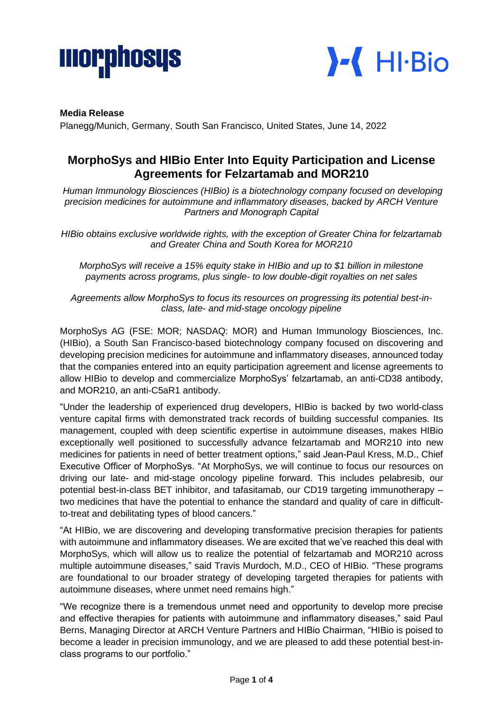



# **Media Release**

Planegg/Munich, Germany, South San Francisco, United States, June 14, 2022

# **MorphoSys and HIBio Enter Into Equity Participation and License Agreements for Felzartamab and MOR210**

*Human Immunology Biosciences (HIBio) is a biotechnology company focused on developing precision medicines for autoimmune and inflammatory diseases, backed by ARCH Venture Partners and Monograph Capital* 

*HIBio obtains exclusive worldwide rights, with the exception of Greater China for felzartamab and Greater China and South Korea for MOR210* 

*MorphoSys will receive a 15% equity stake in HIBio and up to \$1 billion in milestone payments across programs, plus single- to low double-digit royalties on net sales*

*Agreements allow MorphoSys to focus its resources on progressing its potential best-inclass, late- and mid-stage oncology pipeline* 

MorphoSys AG (FSE: MOR; NASDAQ: MOR) and Human Immunology Biosciences, Inc. (HIBio), a South San Francisco-based biotechnology company focused on discovering and developing precision medicines for autoimmune and inflammatory diseases, announced today that the companies entered into an equity participation agreement and license agreements to allow HIBio to develop and commercialize MorphoSys' felzartamab, an anti-CD38 antibody, and MOR210, an anti-C5aR1 antibody.

"Under the leadership of experienced drug developers, HIBio is backed by two world-class venture capital firms with demonstrated track records of building successful companies. Its management, coupled with deep scientific expertise in autoimmune diseases, makes HIBio exceptionally well positioned to successfully advance felzartamab and MOR210 into new medicines for patients in need of better treatment options," said Jean-Paul Kress, M.D., Chief Executive Officer of MorphoSys. "At MorphoSys, we will continue to focus our resources on driving our late- and mid-stage oncology pipeline forward. This includes pelabresib, our potential best-in-class BET inhibitor, and tafasitamab, our CD19 targeting immunotherapy – two medicines that have the potential to enhance the standard and quality of care in difficultto-treat and debilitating types of blood cancers."

"At HIBio, we are discovering and developing transformative precision therapies for patients with autoimmune and inflammatory diseases. We are excited that we've reached this deal with MorphoSys, which will allow us to realize the potential of felzartamab and MOR210 across multiple autoimmune diseases," said Travis Murdoch, M.D., CEO of HIBio. "These programs are foundational to our broader strategy of developing targeted therapies for patients with autoimmune diseases, where unmet need remains high."

"We recognize there is a tremendous unmet need and opportunity to develop more precise and effective therapies for patients with autoimmune and inflammatory diseases," said Paul Berns, Managing Director at ARCH Venture Partners and HIBio Chairman, "HIBio is poised to become a leader in precision immunology, and we are pleased to add these potential best-inclass programs to our portfolio."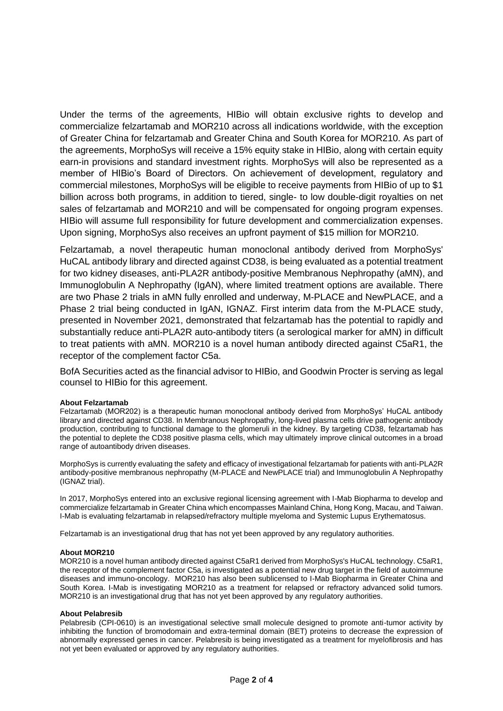Under the terms of the agreements, HIBio will obtain exclusive rights to develop and commercialize felzartamab and MOR210 across all indications worldwide, with the exception of Greater China for felzartamab and Greater China and South Korea for MOR210. As part of the agreements, MorphoSys will receive a 15% equity stake in HIBio, along with certain equity earn-in provisions and standard investment rights. MorphoSys will also be represented as a member of HIBio's Board of Directors. On achievement of development, regulatory and commercial milestones, MorphoSys will be eligible to receive payments from HIBio of up to \$1 billion across both programs, in addition to tiered, single- to low double-digit royalties on net sales of felzartamab and MOR210 and will be compensated for ongoing program expenses. HIBio will assume full responsibility for future development and commercialization expenses. Upon signing, MorphoSys also receives an upfront payment of \$15 million for MOR210.

Felzartamab, a novel therapeutic human monoclonal antibody derived from MorphoSys' HuCAL antibody library and directed against CD38, is being evaluated as a potential treatment for two kidney diseases, anti-PLA2R antibody-positive Membranous Nephropathy (aMN), and Immunoglobulin A Nephropathy (IgAN), where limited treatment options are available. There are two Phase 2 trials in aMN fully enrolled and underway, M-PLACE and NewPLACE, and a Phase 2 trial being conducted in IgAN, IGNAZ. First interim data from the M-PLACE study, presented in November 2021, demonstrated that felzartamab has the potential to rapidly and substantially reduce anti-PLA2R auto-antibody titers (a serological marker for aMN) in difficult to treat patients with aMN. MOR210 is a novel human antibody directed against C5aR1, the receptor of the complement factor C5a.

BofA Securities acted as the financial advisor to HIBio, and Goodwin Procter is serving as legal counsel to HIBio for this agreement.

### **About Felzartamab**

Felzartamab (MOR202) is a therapeutic human monoclonal antibody derived from MorphoSys' HuCAL antibody library and directed against CD38. In Membranous Nephropathy, long-lived plasma cells drive pathogenic antibody production, contributing to functional damage to the glomeruli in the kidney. By targeting CD38, felzartamab has the potential to deplete the CD38 positive plasma cells, which may ultimately improve clinical outcomes in a broad range of autoantibody driven diseases.

MorphoSys is currently evaluating the safety and efficacy of investigational felzartamab for patients with anti-PLA2R antibody-positive membranous nephropathy (M-PLACE and NewPLACE trial) and Immunoglobulin A Nephropathy (IGNAZ trial).

In 2017, MorphoSys entered into an exclusive regional licensing agreement with I-Mab Biopharma to develop and commercialize felzartamab in Greater China which encompasses Mainland China, Hong Kong, Macau, and Taiwan. I-Mab is evaluating felzartamab in relapsed/refractory multiple myeloma and Systemic Lupus Erythematosus.

Felzartamab is an investigational drug that has not yet been approved by any regulatory authorities.

#### **About MOR210**

MOR210 is a novel human antibody directed against C5aR1 derived from MorphoSys's HuCAL technology. C5aR1, the receptor of the complement factor C5a, is investigated as a potential new drug target in the field of autoimmune diseases and immuno-oncology. MOR210 has also been sublicensed to I-Mab Biopharma in Greater China and South Korea. I-Mab is investigating MOR210 as a treatment for relapsed or refractory advanced solid tumors. MOR210 is an investigational drug that has not yet been approved by any regulatory authorities.

### **About Pelabresib**

Pelabresib (CPI-0610) is an investigational selective small molecule designed to promote anti-tumor activity by inhibiting the function of bromodomain and extra-terminal domain (BET) proteins to decrease the expression of abnormally expressed genes in cancer. Pelabresib is being investigated as a treatment for myelofibrosis and has not yet been evaluated or approved by any regulatory authorities.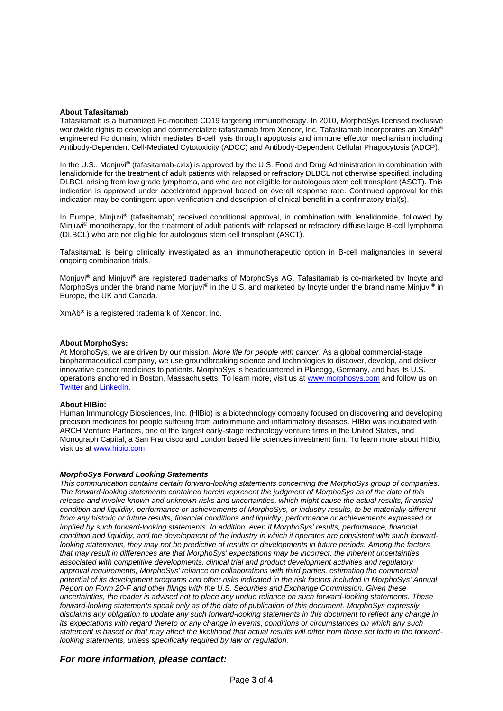#### **About Tafasitamab**

Tafasitamab is a humanized Fc-modified CD19 targeting immunotherapy. In 2010, MorphoSys licensed exclusive worldwide rights to develop and commercialize tafasitamab from Xencor, Inc. Tafasitamab incorporates an XmAb<sup>®</sup> engineered Fc domain, which mediates B-cell lysis through apoptosis and immune effector mechanism including Antibody-Dependent Cell-Mediated Cytotoxicity (ADCC) and Antibody-Dependent Cellular Phagocytosis (ADCP).

In the U.S., Monjuvi**®** (tafasitamab-cxix) is approved by the U.S. Food and Drug Administration in combination with lenalidomide for the treatment of adult patients with relapsed or refractory DLBCL not otherwise specified, including DLBCL arising from low grade lymphoma, and who are not eligible for autologous stem cell transplant (ASCT). This indication is approved under accelerated approval based on overall response rate. Continued approval for this indication may be contingent upon verification and description of clinical benefit in a confirmatory trial(s).

In Europe, Minjuvi**®** (tafasitamab) received conditional approval, in combination with lenalidomide, followed by Minjuvi® monotherapy, for the treatment of adult patients with relapsed or refractory diffuse large B-cell lymphoma (DLBCL) who are not eligible for autologous stem cell transplant (ASCT).

Tafasitamab is being clinically investigated as an immunotherapeutic option in B-cell malignancies in several ongoing combination trials.

Monjuvi**®** and Minjuvi**®** are registered trademarks of MorphoSys AG. Tafasitamab is co-marketed by Incyte and MorphoSys under the brand name Monjuvi**®** in the U.S. and marketed by Incyte under the brand name Minjuvi**®** in Europe, the UK and Canada.

XmAb**®** is a registered trademark of Xencor, Inc.

#### **About MorphoSys:**

At MorphoSys, we are driven by our mission: *More life for people with cancer*. As a global commercial-stage biopharmaceutical company, we use groundbreaking science and technologies to discover, develop, and deliver innovative cancer medicines to patients. MorphoSys is headquartered in Planegg, Germany, and has its U.S. operations anchored in Boston, Massachusetts. To learn more, visit us at [www.morphosys.com](http://www.morphosys.com/) and follow us on [Twitter](https://twitter.com/morphosys) and [LinkedIn.](https://www.linkedin.com/company/morphosys/)

#### **About HIBio:**

Human Immunology Biosciences, Inc. (HIBio) is a biotechnology company focused on discovering and developing precision medicines for people suffering from autoimmune and inflammatory diseases. HIBio was incubated with ARCH Venture Partners, one of the largest early-stage technology venture firms in the United States, and Monograph Capital, a San Francisco and London based life sciences investment firm. To learn more about HIBio, visit us at [www.hibio.com.](http://www.hibio.com/)

#### *MorphoSys Forward Looking Statements*

*This communication contains certain forward-looking statements concerning the MorphoSys group of companies. The forward-looking statements contained herein represent the judgment of MorphoSys as of the date of this*  release and involve known and unknown risks and uncertainties, which might cause the actual results, financial *condition and liquidity, performance or achievements of MorphoSys, or industry results, to be materially different from any historic or future results, financial conditions and liquidity, performance or achievements expressed or implied by such forward-looking statements. In addition, even if MorphoSys' results, performance, financial condition and liquidity, and the development of the industry in which it operates are consistent with such forwardlooking statements, they may not be predictive of results or developments in future periods. Among the factors that may result in differences are that MorphoSys' expectations may be incorrect, the inherent uncertainties associated with competitive developments, clinical trial and product development activities and regulatory approval requirements, MorphoSys' reliance on collaborations with third parties, estimating the commercial potential of its development programs and other risks indicated in the risk factors included in MorphoSys' Annual Report on Form 20-F and other filings with the U.S. Securities and Exchange Commission. Given these uncertainties, the reader is advised not to place any undue reliance on such forward-looking statements. These forward-looking statements speak only as of the date of publication of this document. MorphoSys expressly disclaims any obligation to update any such forward-looking statements in this document to reflect any change in its expectations with regard thereto or any change in events, conditions or circumstances on which any such statement is based or that may affect the likelihood that actual results will differ from those set forth in the forwardlooking statements, unless specifically required by law or regulation.*

### *For more information, please contact:*